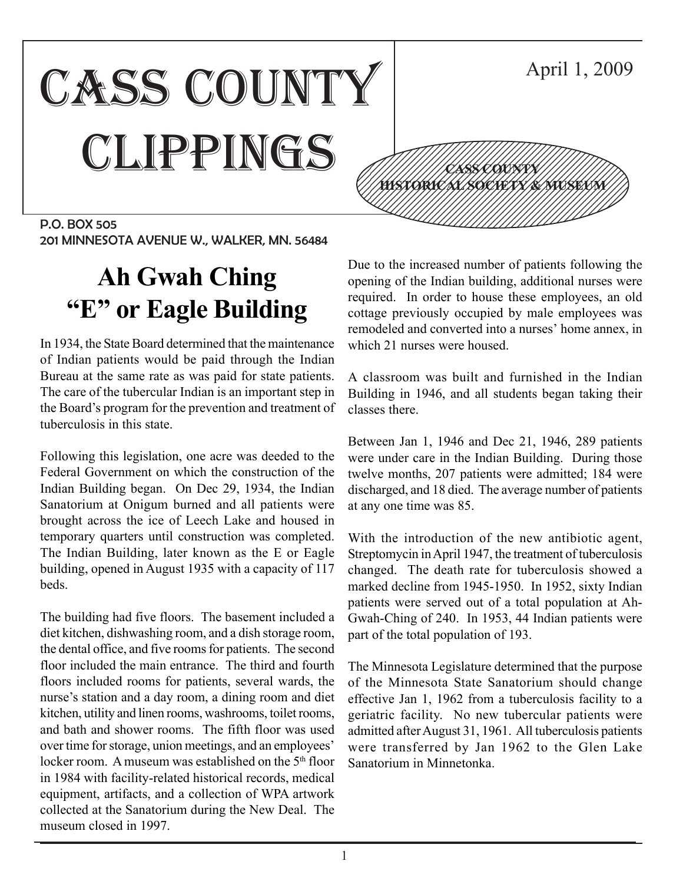#### CASS COUNTY CLIPPINGS P.O. BOX 505 April 1, 2009 12345678901234567890123456789012345678901234567890123456789012345678901234567890123456789012345678901234567890 12345678901234567890123456789012123456789012345 12345678901234567890123456789012123456789012345 12345678901234567890123456789012123456789012345 12345678901234567890123456789012123456789012345 <u>(///199857091346/80/2012578/84/190813130011//)</u> 12345678901234567890123456789012123456789012345 12345678901234567890123456789012123456789012345 12345678901234567890123456789012345678901234567890123456789012345678901234567890123456789012345678901234567890 **CASS COUNTY**

201 MINNESOTA AVENUE W., WALKER, MN. 56484

# **Ah Gwah Ching "E" or Eagle Building**

In 1934, the State Board determined that the maintenance of Indian patients would be paid through the Indian Bureau at the same rate as was paid for state patients. The care of the tubercular Indian is an important step in the Board's program for the prevention and treatment of tuberculosis in this state.

Following this legislation, one acre was deeded to the Federal Government on which the construction of the Indian Building began. On Dec 29, 1934, the Indian Sanatorium at Onigum burned and all patients were brought across the ice of Leech Lake and housed in temporary quarters until construction was completed. The Indian Building, later known as the E or Eagle building, opened in August 1935 with a capacity of 117 beds.

The building had five floors. The basement included a diet kitchen, dishwashing room, and a dish storage room, the dental office, and five rooms for patients. The second floor included the main entrance. The third and fourth floors included rooms for patients, several wards, the nurse's station and a day room, a dining room and diet kitchen, utility and linen rooms, washrooms, toilet rooms, and bath and shower rooms. The fifth floor was used over time for storage, union meetings, and an employees' locker room. A museum was established on the 5<sup>th</sup> floor in 1984 with facility-related historical records, medical equipment, artifacts, and a collection of WPA artwork collected at the Sanatorium during the New Deal. The museum closed in 1997.

Due to the increased number of patients following the opening of the Indian building, additional nurses were required. In order to house these employees, an old cottage previously occupied by male employees was remodeled and converted into a nurses' home annex, in which 21 nurses were housed.

A classroom was built and furnished in the Indian Building in 1946, and all students began taking their classes there.

Between Jan 1, 1946 and Dec 21, 1946, 289 patients were under care in the Indian Building. During those twelve months, 207 patients were admitted; 184 were discharged, and 18 died. The average number of patients at any one time was 85.

With the introduction of the new antibiotic agent, Streptomycin in April 1947, the treatment of tuberculosis changed. The death rate for tuberculosis showed a marked decline from 1945-1950. In 1952, sixty Indian patients were served out of a total population at Ah-Gwah-Ching of 240. In 1953, 44 Indian patients were part of the total population of 193.

The Minnesota Legislature determined that the purpose of the Minnesota State Sanatorium should change effective Jan 1, 1962 from a tuberculosis facility to a geriatric facility. No new tubercular patients were admitted after August 31, 1961. All tuberculosis patients were transferred by Jan 1962 to the Glen Lake Sanatorium in Minnetonka.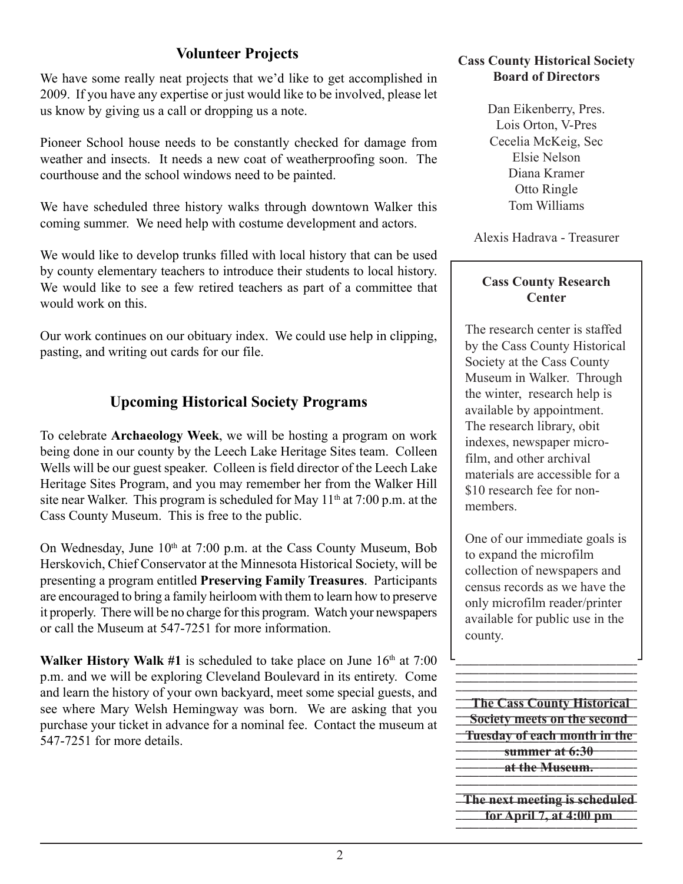## **Volunteer Projects**

We have some really neat projects that we'd like to get accomplished in 2009. If you have any expertise or just would like to be involved, please let us know by giving us a call or dropping us a note.

Pioneer School house needs to be constantly checked for damage from weather and insects. It needs a new coat of weatherproofing soon. The courthouse and the school windows need to be painted.

We have scheduled three history walks through downtown Walker this coming summer. We need help with costume development and actors.

We would like to develop trunks filled with local history that can be used by county elementary teachers to introduce their students to local history. We would like to see a few retired teachers as part of a committee that would work on this.

Our work continues on our obituary index. We could use help in clipping, pasting, and writing out cards for our file.

## **Upcoming Historical Society Programs**

To celebrate **Archaeology Week**, we will be hosting a program on work being done in our county by the Leech Lake Heritage Sites team. Colleen Wells will be our guest speaker. Colleen is field director of the Leech Lake Heritage Sites Program, and you may remember her from the Walker Hill site near Walker. This program is scheduled for May  $11<sup>th</sup>$  at 7:00 p.m. at the Cass County Museum. This is free to the public.

On Wednesday, June  $10<sup>th</sup>$  at 7:00 p.m. at the Cass County Museum, Bob Herskovich, Chief Conservator at the Minnesota Historical Society, will be presenting a program entitled **Preserving Family Treasures**. Participants are encouraged to bring a family heirloom with them to learn how to preserve it properly. There will be no charge for this program. Watch your newspapers or call the Museum at 547-7251 for more information.

**Walker History Walk #1** is scheduled to take place on June  $16<sup>th</sup>$  at  $7:00$ p.m. and we will be exploring Cleveland Boulevard in its entirety. Come and learn the history of your own backyard, meet some special guests, and see where Mary Welsh Hemingway was born. We are asking that you purchase your ticket in advance for a nominal fee. Contact the museum at 547-7251 for more details.

#### **Cass County Historical Society Board of Directors**

Dan Eikenberry, Pres. Lois Orton, V-Pres Cecelia McKeig, Sec Elsie Nelson Diana Kramer Otto Ringle Tom Williams

Alexis Hadrava - Treasurer

#### **Cass County Research Center**

The research center is staffed by the Cass County Historical Society at the Cass County Museum in Walker. Through the winter, research help is available by appointment. The research library, obit indexes, newspaper microfilm, and other archival materials are accessible for a \$10 research fee for nonmembers.

One of our immediate goals is to expand the microfilm collection of newspapers and census records as we have the only microfilm reader/printer available for public use in the county.

123456789012345678901234567890123456789012345678901234567890123456789012345678901

**The Cass County Historical 12356 Society meets on the second Tuesday of each month in the-1201 1202 summer at 6:30 1234567812 at the Museum.** 1 2

**The next meeting is scheduled**  $1235678901234589012345890123458901234789012347890123478801234788012347880123478801234788012347880123478801234788012347880123478801234788012347880123478801234788012347880123478801234788012347880123478801234788012347880123$ **for April 7, at 4:00 pm** 1234567890123456789012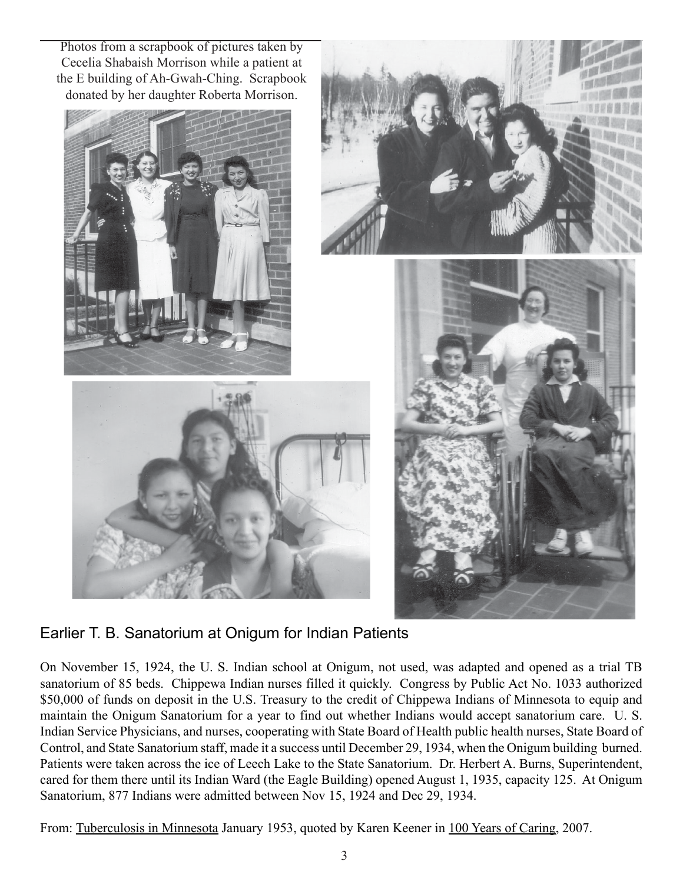Photos from a scrapbook of pictures taken by Cecelia Shabaish Morrison while a patient at the E building of Ah-Gwah-Ching. Scrapbook donated by her daughter Roberta Morrison.





Earlier T. B. Sanatorium at Onigum for Indian Patients

On November 15, 1924, the U. S. Indian school at Onigum, not used, was adapted and opened as a trial TB sanatorium of 85 beds. Chippewa Indian nurses filled it quickly. Congress by Public Act No. 1033 authorized \$50,000 of funds on deposit in the U.S. Treasury to the credit of Chippewa Indians of Minnesota to equip and maintain the Onigum Sanatorium for a year to find out whether Indians would accept sanatorium care. U. S. Indian Service Physicians, and nurses, cooperating with State Board of Health public health nurses, State Board of Control, and State Sanatorium staff, made it a success until December 29, 1934, when the Onigum building burned. Patients were taken across the ice of Leech Lake to the State Sanatorium. Dr. Herbert A. Burns, Superintendent, cared for them there until its Indian Ward (the Eagle Building) opened August 1, 1935, capacity 125. At Onigum Sanatorium, 877 Indians were admitted between Nov 15, 1924 and Dec 29, 1934.

From: Tuberculosis in Minnesota January 1953, quoted by Karen Keener in 100 Years of Caring, 2007.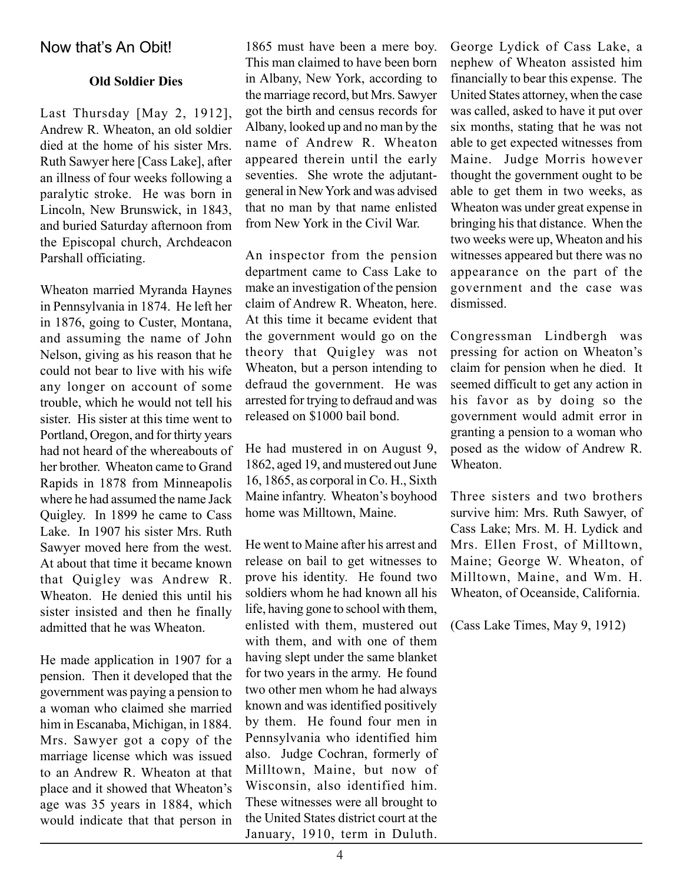## Now that's An Obit!

#### **Old Soldier Dies**

Last Thursday [May 2, 1912], Andrew R. Wheaton, an old soldier died at the home of his sister Mrs. Ruth Sawyer here [Cass Lake], after an illness of four weeks following a paralytic stroke. He was born in Lincoln, New Brunswick, in 1843, and buried Saturday afternoon from the Episcopal church, Archdeacon Parshall officiating.

Wheaton married Myranda Haynes in Pennsylvania in 1874. He left her in 1876, going to Custer, Montana, and assuming the name of John Nelson, giving as his reason that he could not bear to live with his wife any longer on account of some trouble, which he would not tell his sister. His sister at this time went to Portland, Oregon, and for thirty years had not heard of the whereabouts of her brother. Wheaton came to Grand Rapids in 1878 from Minneapolis where he had assumed the name Jack Quigley. In 1899 he came to Cass Lake. In 1907 his sister Mrs. Ruth Sawyer moved here from the west. At about that time it became known that Quigley was Andrew R. Wheaton. He denied this until his sister insisted and then he finally admitted that he was Wheaton.

He made application in 1907 for a pension. Then it developed that the government was paying a pension to a woman who claimed she married him in Escanaba, Michigan, in 1884. Mrs. Sawyer got a copy of the marriage license which was issued to an Andrew R. Wheaton at that place and it showed that Wheaton's age was 35 years in 1884, which would indicate that that person in

1865 must have been a mere boy. This man claimed to have been born in Albany, New York, according to the marriage record, but Mrs. Sawyer got the birth and census records for Albany, looked up and no man by the name of Andrew R. Wheaton appeared therein until the early seventies. She wrote the adjutantgeneral in New York and was advised that no man by that name enlisted from New York in the Civil War.

An inspector from the pension department came to Cass Lake to make an investigation of the pension claim of Andrew R. Wheaton, here. At this time it became evident that the government would go on the theory that Quigley was not Wheaton, but a person intending to defraud the government. He was arrested for trying to defraud and was released on \$1000 bail bond.

He had mustered in on August 9, 1862, aged 19, and mustered out June 16, 1865, as corporal in Co. H., Sixth Maine infantry. Wheaton's boyhood home was Milltown, Maine.

He went to Maine after his arrest and release on bail to get witnesses to prove his identity. He found two soldiers whom he had known all his life, having gone to school with them, enlisted with them, mustered out with them, and with one of them having slept under the same blanket for two years in the army. He found two other men whom he had always known and was identified positively by them. He found four men in Pennsylvania who identified him also. Judge Cochran, formerly of Milltown, Maine, but now of Wisconsin, also identified him. These witnesses were all brought to the United States district court at the January, 1910, term in Duluth.

George Lydick of Cass Lake, a nephew of Wheaton assisted him financially to bear this expense. The United States attorney, when the case was called, asked to have it put over six months, stating that he was not able to get expected witnesses from Maine. Judge Morris however thought the government ought to be able to get them in two weeks, as Wheaton was under great expense in bringing his that distance. When the two weeks were up, Wheaton and his witnesses appeared but there was no appearance on the part of the government and the case was dismissed.

Congressman Lindbergh was pressing for action on Wheaton's claim for pension when he died. It seemed difficult to get any action in his favor as by doing so the government would admit error in granting a pension to a woman who posed as the widow of Andrew R. **Wheaton** 

Three sisters and two brothers survive him: Mrs. Ruth Sawyer, of Cass Lake; Mrs. M. H. Lydick and Mrs. Ellen Frost, of Milltown, Maine; George W. Wheaton, of Milltown, Maine, and Wm. H. Wheaton, of Oceanside, California.

(Cass Lake Times, May 9, 1912)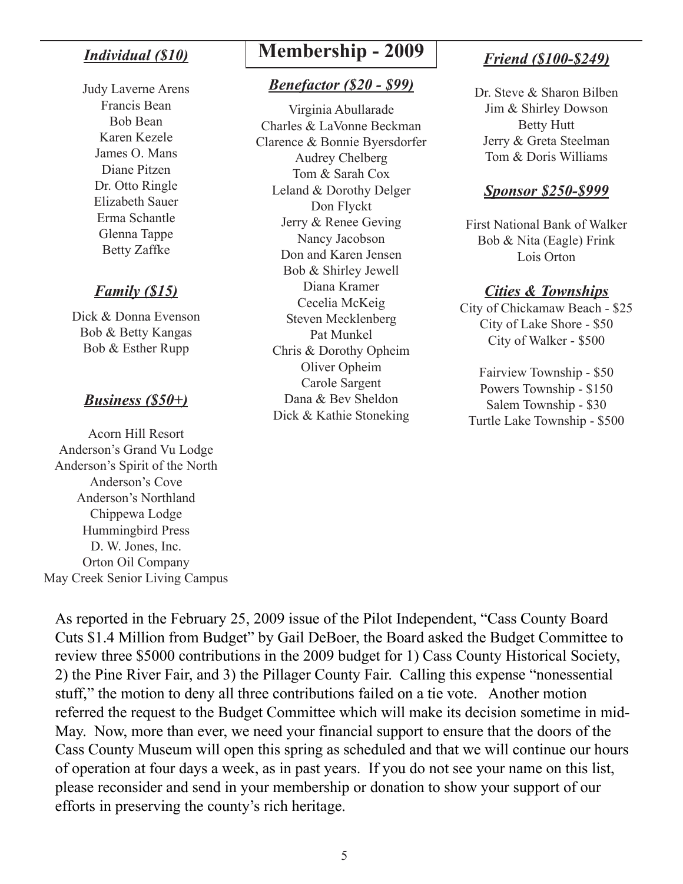## *Individual (\$10)*

Judy Laverne Arens Francis Bean Bob Bean Karen Kezele James O. Mans Diane Pitzen Dr. Otto Ringle Elizabeth Sauer Erma Schantle Glenna Tappe Betty Zaffke

## *Family (\$15)*

Dick & Donna Evenson Bob & Betty Kangas Bob & Esther Rupp

## *Business (\$50+)*

Acorn Hill Resort Anderson's Grand Vu Lodge Anderson's Spirit of the North Anderson's Cove Anderson's Northland Chippewa Lodge Hummingbird Press D. W. Jones, Inc. Orton Oil Company May Creek Senior Living Campus

## **Membership - 2009**

#### *Benefactor (\$20 - \$99)*

Virginia Abullarade Charles & LaVonne Beckman Clarence & Bonnie Byersdorfer Audrey Chelberg Tom & Sarah Cox Leland & Dorothy Delger Don Flyckt Jerry & Renee Geving Nancy Jacobson Don and Karen Jensen Bob & Shirley Jewell Diana Kramer Cecelia McKeig Steven Mecklenberg Pat Munkel Chris & Dorothy Opheim Oliver Opheim Carole Sargent Dana & Bev Sheldon Dick & Kathie Stoneking

## *Friend (\$100-\$249)*

Dr. Steve & Sharon Bilben Jim & Shirley Dowson Betty Hutt Jerry & Greta Steelman Tom & Doris Williams

#### *Sponsor \$250-\$999*

First National Bank of Walker Bob & Nita (Eagle) Frink Lois Orton

#### *Cities & Townships*

City of Chickamaw Beach - \$25 City of Lake Shore - \$50 City of Walker - \$500

Fairview Township - \$50 Powers Township - \$150 Salem Township - \$30 Turtle Lake Township - \$500

As reported in the February 25, 2009 issue of the Pilot Independent, "Cass County Board Cuts \$1.4 Million from Budget" by Gail DeBoer, the Board asked the Budget Committee to review three \$5000 contributions in the 2009 budget for 1) Cass County Historical Society, 2) the Pine River Fair, and 3) the Pillager County Fair. Calling this expense "nonessential stuff," the motion to deny all three contributions failed on a tie vote. Another motion referred the request to the Budget Committee which will make its decision sometime in mid-May. Now, more than ever, we need your financial support to ensure that the doors of the Cass County Museum will open this spring as scheduled and that we will continue our hours of operation at four days a week, as in past years. If you do not see your name on this list, please reconsider and send in your membership or donation to show your support of our efforts in preserving the county's rich heritage.